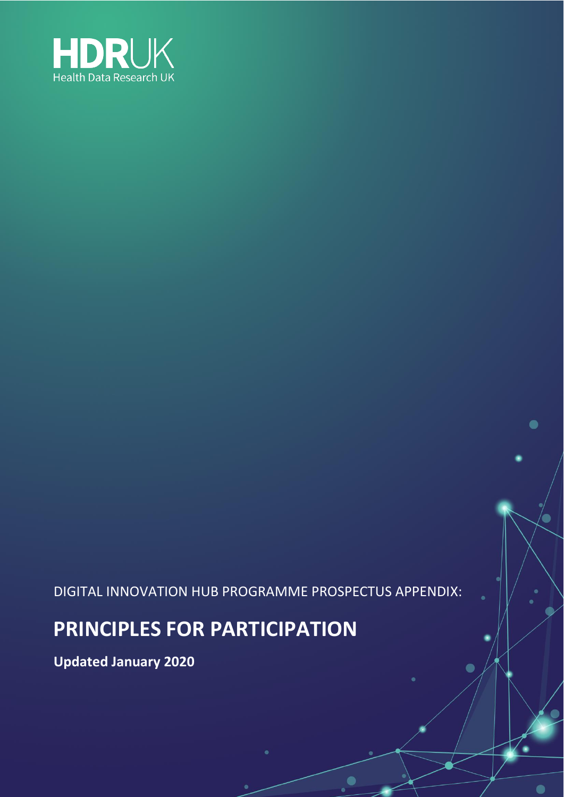

DIGITAL INNOVATION HUB PROGRAMME PROSPECTUS APPENDIX:

 $\bullet$ 

 $\bullet$ 

### **PRINCIPLES FOR PARTICIPATION**

**Updated January 2020**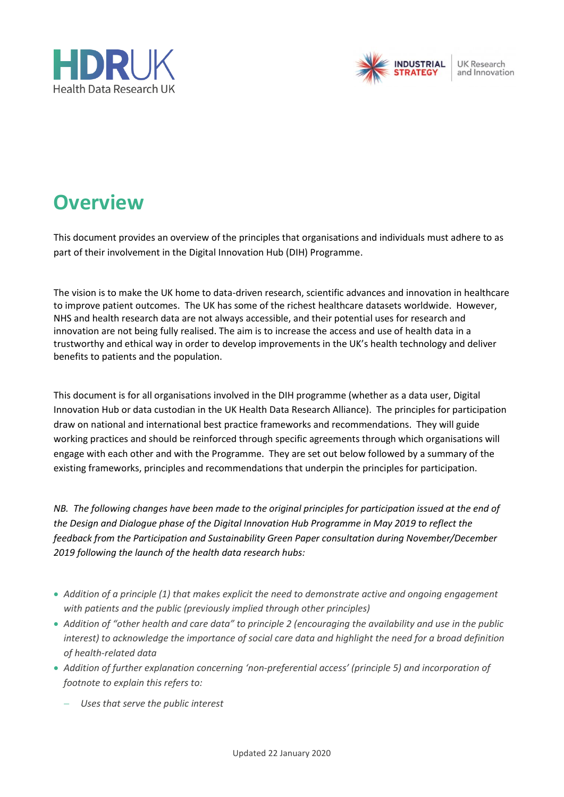



**UK Research** and Innovation

# **Overview**

This document provides an overview of the principles that organisations and individuals must adhere to as part of their involvement in the Digital Innovation Hub (DIH) Programme.

The vision is to make the UK home to data-driven research, scientific advances and innovation in healthcare to improve patient outcomes. The UK has some of the richest healthcare datasets worldwide. However, NHS and health research data are not always accessible, and their potential uses for research and innovation are not being fully realised. The aim is to increase the access and use of health data in a trustworthy and ethical way in order to develop improvements in the UK's health technology and deliver benefits to patients and the population.

This document is for all organisations involved in the DIH programme (whether as a data user, Digital Innovation Hub or data custodian in the UK Health Data Research Alliance). The principles for participation draw on national and international best practice frameworks and recommendations. They will guide working practices and should be reinforced through specific agreements through which organisations will engage with each other and with the Programme. They are set out below followed by a summary of the existing frameworks, principles and recommendations that underpin the principles for participation.

*NB. The following changes have been made to the original principles for participation issued at the end of the Design and Dialogue phase of the Digital Innovation Hub Programme in May 2019 to reflect the feedback from the Participation and Sustainability Green Paper consultation during November/December 2019 following the launch of the health data research hubs:*

- *Addition of a principle (1) that makes explicit the need to demonstrate active and ongoing engagement with patients and the public (previously implied through other principles)*
- *Addition of "other health and care data" to principle 2 (encouraging the availability and use in the public interest) to acknowledge the importance of social care data and highlight the need for a broad definition of health-related data*
- *Addition of further explanation concerning 'non-preferential access' (principle 5) and incorporation of footnote to explain this refers to:*
	- − *Uses that serve the public interest*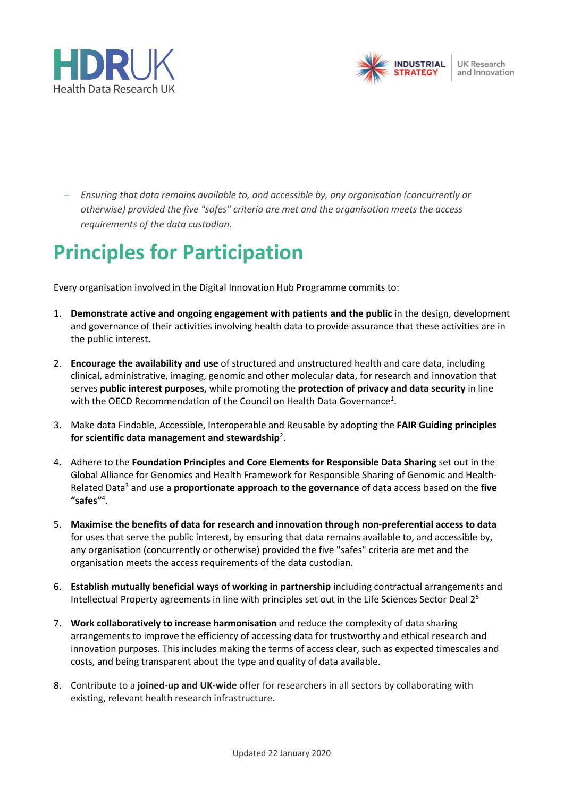



− *Ensuring that data remains available to, and accessible by, any organisation (concurrently or otherwise) provided the five "safes" criteria are met and the organisation meets the access requirements of the data custodian.*

# **Principles for Participation**

Every organisation involved in the Digital Innovation Hub Programme commits to:

- 1. **Demonstrate active and ongoing engagement with patients and the public** in the design, development and governance of their activities involving health data to provide assurance that these activities are in the public interest.
- 2. **Encourage the availability and use** of structured and unstructured health and care data, including clinical, administrative, imaging, genomic and other molecular data, for research and innovation that serves **public interest purposes,** while promoting the **protection of privacy and data security** in line with the OECD Recommendation of the Council on Health Data Governance<sup>1</sup>.
- 3. Make data Findable, Accessible, Interoperable and Reusable by adopting the **FAIR Guiding principles for scientific data management and stewardship**<sup>2</sup> .
- 4. Adhere to the **Foundation Principles and Core Elements for Responsible Data Sharing** set out in the Global Alliance for Genomics and Health Framework for Responsible Sharing of Genomic and Health-Related Data<sup>3</sup> and use a **proportionate approach to the governance** of data access based on the **five**  "safes"<sup>4</sup>.
- 5. **Maximise the benefits of data for research and innovation through non-preferential access to data** for uses that serve the public interest, by ensuring that data remains available to, and accessible by, any organisation (concurrently or otherwise) provided the five "safes" criteria are met and the organisation meets the access requirements of the data custodian.
- 6. **Establish mutually beneficial ways of working in partnership** including contractual arrangements and Intellectual Property agreements in line with principles set out in the Life Sciences Sector Deal 2<sup>5</sup>
- 7. **Work collaboratively to increase harmonisation** and reduce the complexity of data sharing arrangements to improve the efficiency of accessing data for trustworthy and ethical research and innovation purposes. This includes making the terms of access clear, such as expected timescales and costs, and being transparent about the type and quality of data available.
- 8. Contribute to a **joined-up and UK-wide** offer for researchers in all sectors by collaborating with existing, relevant health research infrastructure.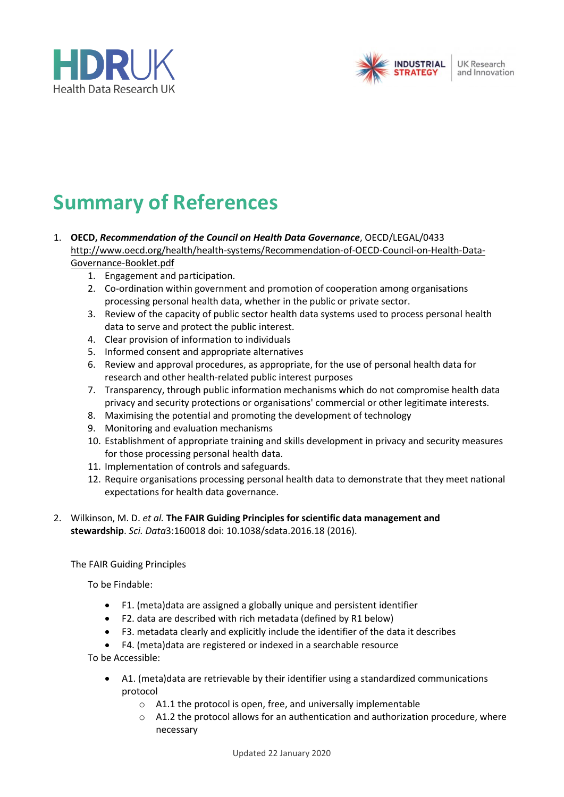



**UK Research** and Innovation

# **Summary of References**

- 1. **OECD,** *Recommendation of the Council on Health Data Governance*, OECD/LEGAL/0433 [http://www.oecd.org/health/health-systems/Recommendation-of-OECD-Council-on-Health-Data-](http://www.oecd.org/health/health-systems/Recommendation-of-OECD-Council-on-Health-Data-Governance-Booklet.pdf)[Governance-Booklet.pdf](http://www.oecd.org/health/health-systems/Recommendation-of-OECD-Council-on-Health-Data-Governance-Booklet.pdf)
	- 1. Engagement and participation.
	- 2. Co-ordination within government and promotion of cooperation among organisations processing personal health data, whether in the public or private sector.
	- 3. Review of the capacity of public sector health data systems used to process personal health data to serve and protect the public interest.
	- 4. Clear provision of information to individuals
	- 5. Informed consent and appropriate alternatives
	- 6. Review and approval procedures, as appropriate, for the use of personal health data for research and other health-related public interest purposes
	- 7. Transparency, through public information mechanisms which do not compromise health data privacy and security protections or organisations' commercial or other legitimate interests.
	- 8. Maximising the potential and promoting the development of technology
	- 9. Monitoring and evaluation mechanisms
	- 10. Establishment of appropriate training and skills development in privacy and security measures for those processing personal health data.
	- 11. Implementation of controls and safeguards.
	- 12. Require organisations processing personal health data to demonstrate that they meet national expectations for health data governance.
- 2. Wilkinson, M. D. *et al.* **The FAIR Guiding Principles for scientific data management and stewardship**. *Sci. Data*3:160018 doi: 10.1038/sdata.2016.18 (2016).

The FAIR Guiding Principles

To be Findable:

- F1. (meta)data are assigned a globally unique and persistent identifier
- F2. data are described with rich metadata (defined by R1 below)
- F3. metadata clearly and explicitly include the identifier of the data it describes
- F4. (meta)data are registered or indexed in a searchable resource

To be Accessible:

- A1. (meta)data are retrievable by their identifier using a standardized communications protocol
	- o A1.1 the protocol is open, free, and universally implementable
	- $\circ$  A1.2 the protocol allows for an authentication and authorization procedure, where necessary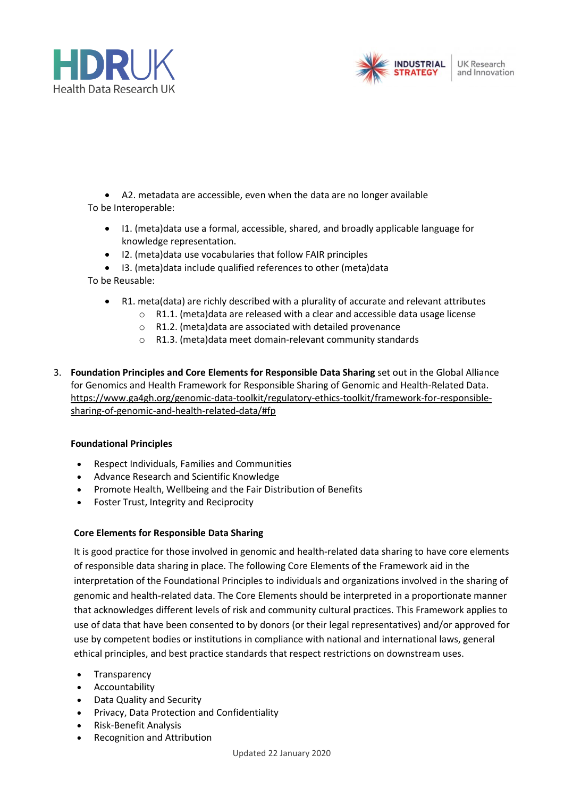



• A2. metadata are accessible, even when the data are no longer available To be Interoperable:

- I1. (meta)data use a formal, accessible, shared, and broadly applicable language for knowledge representation.
- I2. (meta)data use vocabularies that follow FAIR principles
- I3. (meta)data include qualified references to other (meta)data

To be Reusable:

- R1. meta(data) are richly described with a plurality of accurate and relevant attributes
	- o R1.1. (meta)data are released with a clear and accessible data usage license
	- o R1.2. (meta)data are associated with detailed provenance
	- o R1.3. (meta)data meet domain-relevant community standards
- 3. **Foundation Principles and Core Elements for Responsible Data Sharing** set out in the Global Alliance for Genomics and Health Framework for Responsible Sharing of Genomic and Health-Related Data. [https://www.ga4gh.org/genomic-data-toolkit/regulatory-ethics-toolkit/framework-for-responsible](https://www.ga4gh.org/genomic-data-toolkit/regulatory-ethics-toolkit/framework-for-responsible-sharing-of-genomic-and-health-related-data/#fp)[sharing-of-genomic-and-health-related-data/#fp](https://www.ga4gh.org/genomic-data-toolkit/regulatory-ethics-toolkit/framework-for-responsible-sharing-of-genomic-and-health-related-data/#fp)

### **Foundational Principles**

- Respect Individuals, Families and Communities
- Advance Research and Scientific Knowledge
- Promote Health, Wellbeing and the Fair Distribution of Benefits
- Foster Trust, Integrity and Reciprocity

### **Core Elements for Responsible Data Sharing**

It is good practice for those involved in genomic and health-related data sharing to have core elements of responsible data sharing in place. The following Core Elements of the Framework aid in the interpretation of the Foundational Principles to individuals and organizations involved in the sharing of genomic and health-related data. The Core Elements should be interpreted in a proportionate manner that acknowledges different levels of risk and community cultural practices. This Framework applies to use of data that have been consented to by donors (or their legal representatives) and/or approved for use by competent bodies or institutions in compliance with national and international laws, general ethical principles, and best practice standards that respect restrictions on downstream uses.

- **Transparency**
- **Accountability**
- Data Quality and Security
- Privacy, Data Protection and Confidentiality
- Risk-Benefit Analysis
- Recognition and Attribution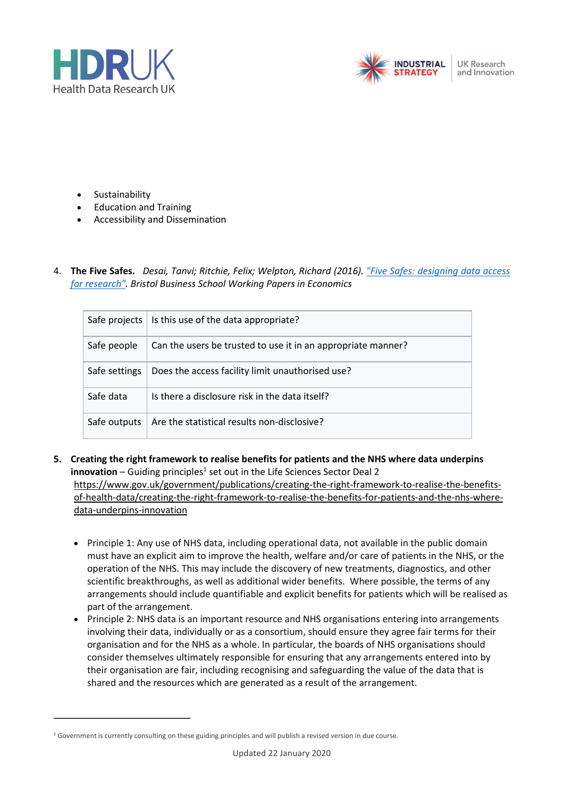



**UK Research** and Innovation

- **Sustainability**
- Education and Training
- Accessibility and Dissemination
- 4. **The Five Safes.** *Desai, Tanvi; Ritchie, Felix; Welpton, Richard (2016). ["Five Safes: designing data access](http://www2.uwe.ac.uk/faculties/BBS/Documents/1601.pdf)  [for research".](http://www2.uwe.ac.uk/faculties/BBS/Documents/1601.pdf) Bristol Business School Working Papers in Economics*

| Safe projects | Is this use of the data appropriate?                         |
|---------------|--------------------------------------------------------------|
| Safe people   | Can the users be trusted to use it in an appropriate manner? |
| Safe settings | Does the access facility limit unauthorised use?             |
| Safe data     | Is there a disclosure risk in the data itself?               |
| Safe outputs  | Are the statistical results non-disclosive?                  |

- **5. Creating the right framework to realise benefits for patients and the NHS where data underpins**  innovation - Guiding principles<sup>1</sup> set out in the Life Sciences Sector Deal 2 [https://www.gov.uk/government/publications/creating-the-right-framework-to-realise-the-benefits](https://www.gov.uk/government/publications/creating-the-right-framework-to-realise-the-benefits-of-health-data/creating-the-right-framework-to-realise-the-benefits-for-patients-and-the-nhs-where-data-underpins-innovation)[of-health-data/creating-the-right-framework-to-realise-the-benefits-for-patients-and-the-nhs-where](https://www.gov.uk/government/publications/creating-the-right-framework-to-realise-the-benefits-of-health-data/creating-the-right-framework-to-realise-the-benefits-for-patients-and-the-nhs-where-data-underpins-innovation)[data-underpins-innovation](https://www.gov.uk/government/publications/creating-the-right-framework-to-realise-the-benefits-of-health-data/creating-the-right-framework-to-realise-the-benefits-for-patients-and-the-nhs-where-data-underpins-innovation)
	- Principle 1: Any use of NHS data, including operational data, not available in the public domain must have an explicit aim to improve the health, welfare and/or care of patients in the NHS, or the operation of the NHS. This may include the discovery of new treatments, diagnostics, and other scientific breakthroughs, as well as additional wider benefits. Where possible, the terms of any arrangements should include quantifiable and explicit benefits for patients which will be realised as part of the arrangement.
	- Principle 2: NHS data is an important resource and NHS organisations entering into arrangements involving their data, individually or as a consortium, should ensure they agree fair terms for their organisation and for the NHS as a whole. In particular, the boards of NHS organisations should consider themselves ultimately responsible for ensuring that any arrangements entered into by their organisation are fair, including recognising and safeguarding the value of the data that is shared and the resources which are generated as a result of the arrangement.

 $1$  Government is currently consulting on these guiding principles and will publish a revised version in due course.